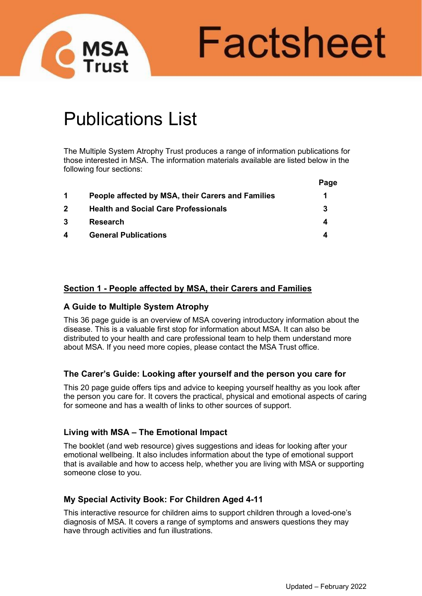

Factsheet

# Publications List

The Multiple System Atrophy Trust produces a range of information publications for those interested in MSA. The information materials available are listed below in the following four sections:

|                |                                                   | Page |
|----------------|---------------------------------------------------|------|
| $\mathbf 1$    | People affected by MSA, their Carers and Families |      |
| $\overline{2}$ | <b>Health and Social Care Professionals</b>       | 3    |
| -3             | <b>Research</b>                                   |      |
| 4              | <b>General Publications</b>                       |      |

# **Section 1 - People affected by MSA, their Carers and Families**

## **A Guide to Multiple System Atrophy**

This 36 page guide is an overview of MSA covering introductory information about the disease. This is a valuable first stop for information about MSA. It can also be distributed to your health and care professional team to help them understand more about MSA. If you need more copies, please contact the MSA Trust office.

## **The Carer's Guide: Looking after yourself and the person you care for**

This 20 page guide offers tips and advice to keeping yourself healthy as you look after the person you care for. It covers the practical, physical and emotional aspects of caring for someone and has a wealth of links to other sources of support.

## **Living with MSA – The Emotional Impact**

The booklet (and web resource) gives suggestions and ideas for looking after your emotional wellbeing. It also includes information about the type of emotional support that is available and how to access help, whether you are living with MSA or supporting someone close to you.

# **My Special Activity Book: For Children Aged 4-11**

This interactive resource for children aims to support children through a loved-one's diagnosis of MSA. It covers a range of symptoms and answers questions they may have through activities and fun illustrations.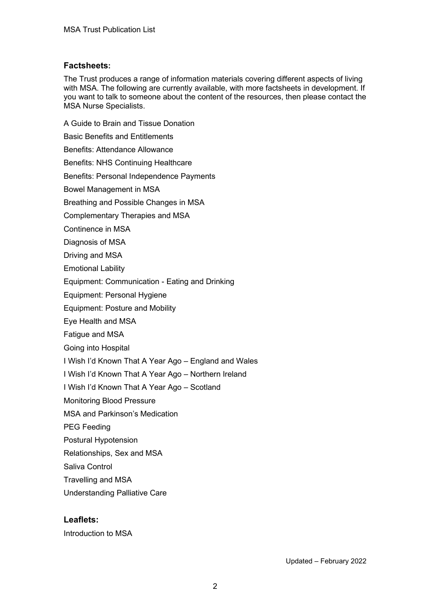## **Factsheets:**

The Trust produces a range of information materials covering different aspects of living with MSA. The following are currently available, with more factsheets in development. If you want to talk to someone about the content of the resources, then please contact the MSA Nurse Specialists.

A Guide to Brain and Tissue Donation Basic Benefits and Entitlements Benefits: Attendance Allowance Benefits: NHS Continuing Healthcare Benefits: Personal Independence Payments Bowel Management in MSA Breathing and Possible Changes in MSA Complementary Therapies and MSA Continence in MSA Diagnosis of MSA Driving and MSA Emotional Lability Equipment: Communication - Eating and Drinking Equipment: Personal Hygiene Equipment: Posture and Mobility Eye Health and MSA Fatigue and MSA Going into Hospital I Wish I'd Known That A Year Ago – England and Wales I Wish I'd Known That A Year Ago – Northern Ireland I Wish I'd Known That A Year Ago – Scotland Monitoring Blood Pressure MSA and Parkinson's Medication PEG Feeding Postural Hypotension Relationships, Sex and MSA Saliva Control Travelling and MSA Understanding Palliative Care

# **Leaflets:**

Introduction to MSA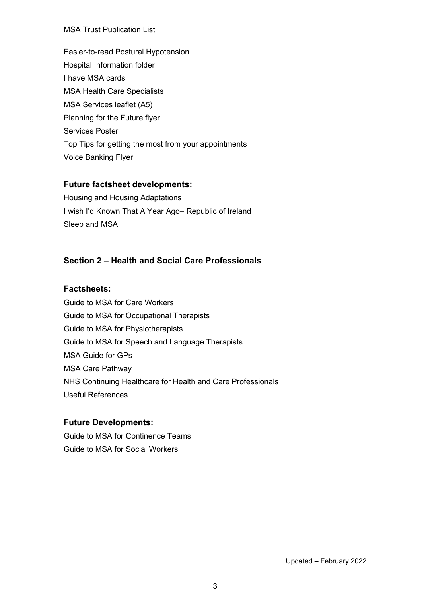#### MSA Trust Publication List

Easier-to-read Postural Hypotension Hospital Information folder I have MSA cards MSA Health Care Specialists MSA Services leaflet (A5) Planning for the Future flyer Services Poster Top Tips for getting the most from your appointments Voice Banking Flyer

# **Future factsheet developments:**

Housing and Housing Adaptations I wish I'd Known That A Year Ago– Republic of Ireland Sleep and MSA

# **Section 2 – Health and Social Care Professionals**

## **Factsheets:**

Guide to MSA for Care Workers Guide to MSA for Occupational Therapists Guide to MSA for Physiotherapists Guide to MSA for Speech and Language Therapists MSA Guide for GPs MSA Care Pathway NHS Continuing Healthcare for Health and Care Professionals Useful References

## **Future Developments:**

Guide to MSA for Continence Teams Guide to MSA for Social Workers